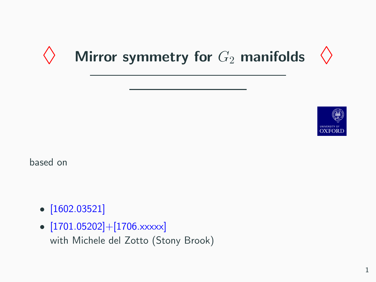# Mirror symmetry for  $G_2$  manifolds  $\langle \rangle$



based on

- [1602.03521]
- $[1701.05202] + [1706.xxxxx]$ with Michele del Zotto (Stony Brook)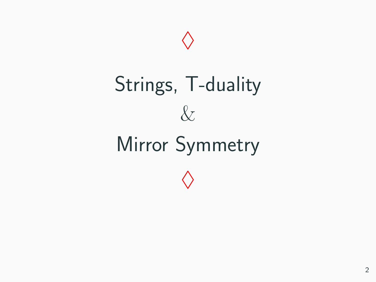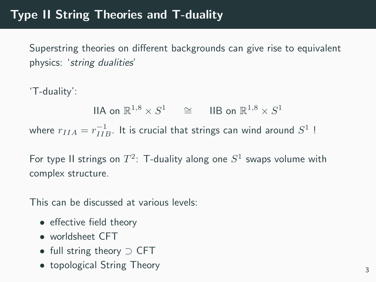Superstring theories on different backgrounds can give rise to equivalent physics: 'string dualities'

'T-duality':

IIA on  $\mathbb{R}^{1,8} \times S^1$   $\cong$  IIB on  $\mathbb{R}^{1,8} \times S^1$ where  $r_{IIA} = r_{IIB}^{-1}$ . It is crucial that strings can wind around  $S^1$  !

For type II strings on  $T^2$ : T-duality along one  $S^1$  swaps volume with complex structure.

This can be discussed at various levels:

- effective field theory
- worldsheet CFT
- full string theory ⊃ CFT
- topological String Theory  $\frac{3}{3}$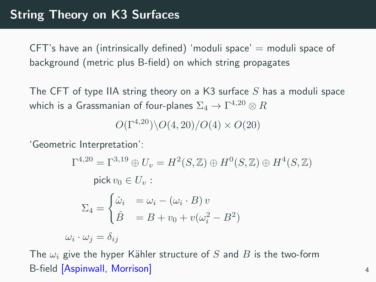CFT's have an (intrinsically defined) 'moduli space'  $=$  moduli space of background (metric plus B-field) on which string propagates

The CFT of type IIA string theory on a K3 surface  $S$  has a moduli space which is a Grassmanian of four-planes  $\Sigma_4 \rightarrow \Gamma^{4,20} \otimes R$ 

 $O(\Gamma^{4,20})\backslash O(4,20)/O(4)\times O(20)$ 

'Geometric Interpretation':

$$
\Gamma^{4,20} = \Gamma^{3,19} \oplus U_v = H^2(S, \mathbb{Z}) \oplus H^0(S, \mathbb{Z}) \oplus H^4(S, \mathbb{Z})
$$
  
\npick  $v_0 \in U_v$ :  
\n
$$
\Sigma_4 = \begin{cases}\n\hat{\omega}_i & = \omega_i - (\omega_i \cdot B) v \\
\hat{B} & = B + v_0 + v(\omega_i^2 - B^2)\n\end{cases}
$$
  
\n $\omega_i \cdot \omega_j = \delta_{ij}$ 

The  $\omega_i$  give the hyper Kähler structure of S and B is the two-form B-field [Aspinwall, Morrison] <sup>4</sup>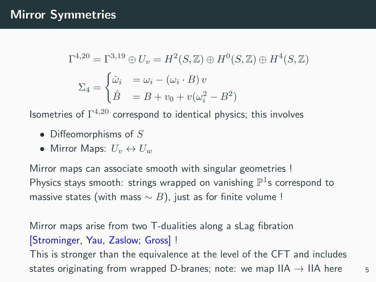## Mirror Symmetries

$$
\Gamma^{4,20} = \Gamma^{3,19} \oplus U_v = H^2(S, \mathbb{Z}) \oplus H^0(S, \mathbb{Z}) \oplus H^4(S, \mathbb{Z})
$$

$$
\Sigma_4 = \begin{cases} \hat{\omega}_i &= \omega_i - (\omega_i \cdot B)v \\ \hat{B} &= B + v_0 + v(\omega_i^2 - B^2) \end{cases}
$$

Isometries of  $\Gamma^{4,20}$  correspond to identical physics; this involves

- Diffeomorphisms of  $S$
- Mirror Maps:  $U_v \leftrightarrow U_w$

Mirror maps can associate smooth with singular geometries ! Physics stays smooth: strings wrapped on vanishing  $\mathbb{P}^1$ s correspond to massive states (with mass  $\sim$  B), just as for finite volume !

Mirror maps arise from two T-dualities along a sLag fibration [Strominger, Yau, Zaslow; Gross] !

This is stronger than the equivalence at the level of the CFT and includes states originating from wrapped D-branes; note: we map IIA  $\rightarrow$  IIA here 5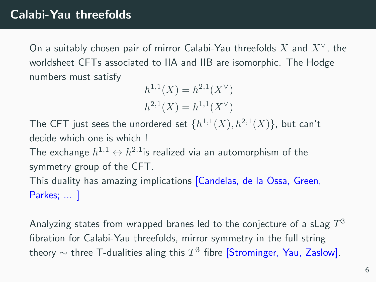On a suitably chosen pair of mirror Calabi-Yau threefolds X and  $X^{\vee}$ . the worldsheet CFTs associated to IIA and IIB are isomorphic. The Hodge numbers must satisfy

$$
h^{1,1}(X) = h^{2,1}(X^{\vee})
$$
  

$$
h^{2,1}(X) = h^{1,1}(X^{\vee})
$$

The CFT just sees the unordered set  $\{h^{1,1}(X),h^{2,1}(X)\}$ , but can't decide which one is which ! The exchange  $h^{1,1} \leftrightarrow h^{2,1}$ is realized via an automorphism of the symmetry group of the CFT. This duality has amazing implications [Candelas, de la Ossa, Green, Parkes; ... ]

Analyzing states from wrapped branes led to the conjecture of a sLag  $T^3$ fibration for Calabi-Yau threefolds, mirror symmetry in the full string theory  $\sim$  three T-dualities aling this  $T^3$  fibre [Strominger, Yau, Zaslow].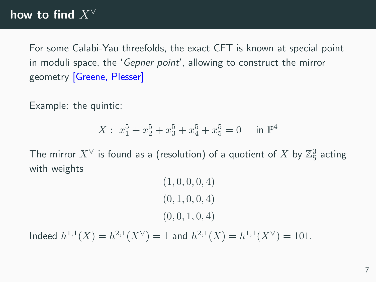For some Calabi-Yau threefolds, the exact CFT is known at special point in moduli space, the 'Gepner point', allowing to construct the mirror geometry [Greene, Plesser]

Example: the quintic:

$$
X: x_1^5 + x_2^5 + x_3^5 + x_4^5 + x_5^5 = 0 \quad \text{in } \mathbb{P}^4
$$

The mirror  $X^\vee$  is found as a (resolution) of a quotient of  $X$  by  $\mathbb Z^3_5$  acting with weights

$$
(1, 0, 0, 0, 4)
$$
  

$$
(0, 1, 0, 0, 4)
$$
  

$$
(0, 0, 1, 0, 4)
$$

Indeed  $h^{1,1}(X) = h^{2,1}(X^{\vee}) = 1$  and  $h^{2,1}(X) = h^{1,1}(X^{\vee}) = 101$ .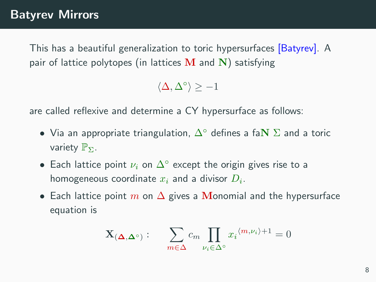This has a beautiful generalization to toric hypersurfaces [Batyrev]. A pair of lattice polytopes (in lattices  $M$  and  $N$ ) satisfying

 $\langle \Delta, \Delta^{\circ} \rangle \ge -1$ 

are called reflexive and determine a CY hypersurface as follows:

- Via an appropriate triangulation,  $\Delta^{\circ}$  defines a fa $N \Sigma$  and a toric variety  $\mathbb{P}_{\Sigma}$ .
- Each lattice point  $\nu_i$  on  $\Delta^\circ$  except the origin gives rise to a homogeneous coordinate  $x_i$  and a divisor  $D_i$ .
- Each lattice point m on  $\Delta$  gives a Monomial and the hypersurface equation is

$$
\mathbf{X}_{(\mathbf{\Delta},\mathbf{\Delta}^\circ)}: \quad \sum_{m\in\Delta} c_m \prod_{\nu_i\in\Delta^\circ} x_i^{\langle m,\nu_i\rangle+1}=0
$$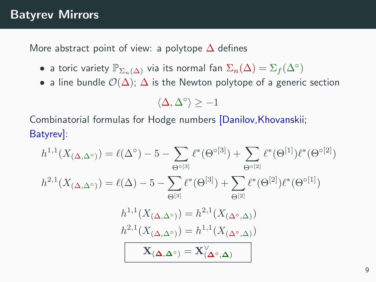#### Batyrev Mirrors

More abstract point of view: a polytope  $\Delta$  defines

- $\bullet$  a toric variety  $\mathbb{P}_{\Sigma_n(\Delta)}$  via its normal fan  $\Sigma_n(\Delta)=\Sigma_f(\Delta^\circ)$
- a line bundle  $\mathcal{O}(\Delta)$ ;  $\Delta$  is the Newton polytope of a generic section

$$
\langle \Delta, \Delta^\circ \rangle \geq -1
$$

Combinatorial formulas for Hodge numbers [Danilov,Khovanskii; Batyrev]:

$$
h^{1,1}(X_{(\Delta,\Delta^{\circ})}) = \ell(\Delta^{\circ}) - 5 - \sum_{\Theta^{\circ[3]}} \ell^*(\Theta^{\circ[3]}) + \sum_{\Theta^{\circ[2]}} \ell^*(\Theta^{[1]})\ell^*(\Theta^{\circ[2]})
$$
  
\n
$$
h^{2,1}(X_{(\Delta,\Delta^{\circ})}) = \ell(\Delta) - 5 - \sum_{\Theta^{[3]}} \ell^*(\Theta^{[3]}) + \sum_{\Theta^{[2]}} \ell^*(\Theta^{[2]})\ell^*(\Theta^{\circ[1]})
$$
  
\n
$$
h^{1,1}(X_{(\Delta,\Delta^{\circ})}) = h^{2,1}(X_{(\Delta^{\circ},\Delta)})
$$
  
\n
$$
h^{2,1}(X_{(\Delta,\Delta^{\circ})}) = h^{1,1}(X_{(\Delta^{\circ},\Delta)})
$$
  
\n
$$
\mathbf{X}_{(\Delta,\Delta^{\circ})} = \mathbf{X}_{(\Delta^{\circ},\Delta)}^{\vee}
$$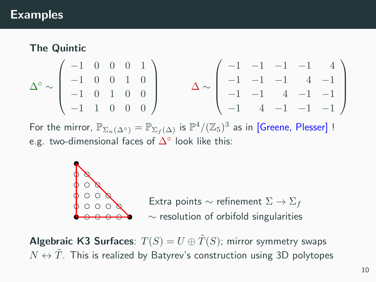#### Examples

#### The Quintic

$$
\Delta^{\circ} \sim \left(\begin{array}{rrrrr} -1 & 0 & 0 & 0 & 1 \\ -1 & 0 & 0 & 1 & 0 \\ -1 & 0 & 1 & 0 & 0 \\ -1 & 1 & 0 & 0 & 0 \end{array}\right) \hspace{1cm} \Delta \sim \left(\begin{array}{rrrrr} -1 & -1 & -1 & -1 & 4 \\ -1 & -1 & -1 & 4 & -1 \\ -1 & -1 & 4 & -1 & -1 \\ -1 & 4 & -1 & -1 & -1 \end{array}\right)
$$

For the mirror,  $\mathbb{P}_{\Sigma_n(\Delta^\circ)}=\mathbb{P}_{\Sigma_f(\Delta)}$  is  $\mathbb{P}^4/(\mathbb{Z}_5)^3$  as in [Greene, Plesser] ! e.g. two-dimensional faces of  $\Delta^{\circ}$  look like this:



∼ resolution of orbifold singularities Extra points  $\sim$  refinement  $\Sigma \to \Sigma_f$ 

**Algebraic K3 Surfaces**:  $T(S) = U \oplus \widetilde{T}(S)$ ; mirror symmetry swaps  $N \leftrightarrow T$ . This is realized by Batyrev's construction using 3D polytopes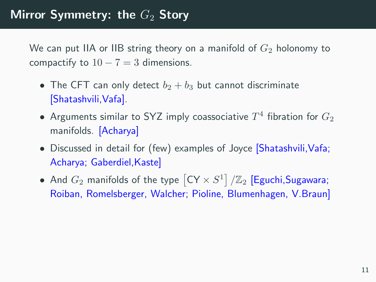We can put IIA or IIB string theory on a manifold of  $G_2$  holonomy to compactify to  $10 - 7 = 3$  dimensions.

- The CFT can only detect  $b_2 + b_3$  but cannot discriminate [Shatashvili,Vafa].
- $\bullet$  Arguments similar to SYZ imply coassociative  $T^4$  fibration for  $G_2$ manifolds. [Acharya]
- Discussed in detail for (few) examples of Joyce [Shatashvili, Vafa; Acharya; Gaberdiel,Kaste]
- $\bullet$  And  $G_2$  manifolds of the type  $\left[\mathsf{CY}\times S^1\right]/\mathbb{Z}_2$   $\left[\mathsf{Eguchi},\mathsf{Sugawara};\right]$ Roiban, Romelsberger, Walcher; Pioline, Blumenhagen, V.Braun]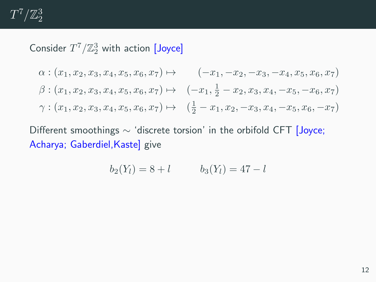$T^7/\mathbb{Z}_2^3$ 

# Consider  $T^7/\mathbb{Z}_2^3$  with action [Joyce]

$$
\alpha: (x_1, x_2, x_3, x_4, x_5, x_6, x_7) \mapsto (-x_1, -x_2, -x_3, -x_4, x_5, x_6, x_7)
$$
  

$$
\beta: (x_1, x_2, x_3, x_4, x_5, x_6, x_7) \mapsto (-x_1, \frac{1}{2} - x_2, x_3, x_4, -x_5, -x_6, x_7)
$$
  

$$
\gamma: (x_1, x_2, x_3, x_4, x_5, x_6, x_7) \mapsto (\frac{1}{2} - x_1, x_2, -x_3, x_4, -x_5, x_6, -x_7)
$$

Different smoothings ∼ 'discrete torsion' in the orbifold CFT [Joyce; Acharya; Gaberdiel, Kaste] give

$$
b_2(Y_l) = 8 + l \qquad b_3(Y_l) = 47 - l
$$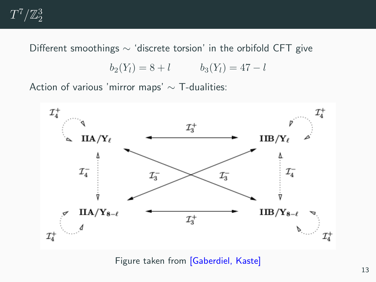

Different smoothings ∼ 'discrete torsion' in the orbifold CFT give

$$
b_2(Y_l) = 8 + l \qquad b_3(Y_l) = 47 - l
$$

Action of various 'mirror maps' ∼ T-dualities:



Figure taken from [Gaberdiel, Kaste]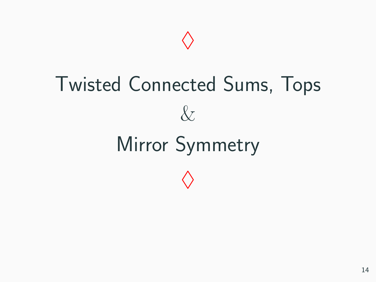# Twisted Connected Sums, Tops  $\&$ Mirror Symmetry  $\Diamond$

 $\Diamond$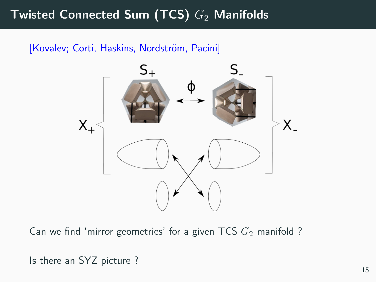# Twisted Connected Sum (TCS)  $G_2$  Manifolds

#### [Kovalev; Corti, Haskins, Nordström, Pacini]



Can we find 'mirror geometries' for a given TCS  $G_2$  manifold ?

Is there an SYZ picture ?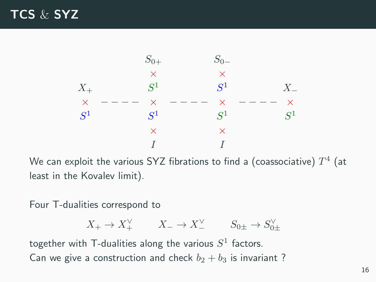### TCS & SYZ



We can exploit the various SYZ fibrations to find a (coassociative)  $T^4$  (at least in the Kovalev limit).

Four T-dualities correspond to

$$
X_+ \to X_+^{\vee} \qquad X_- \to X_-^{\vee} \qquad S_{0\pm} \to S_{0\pm}^{\vee}
$$

together with T-dualities along the various  $S^1$  factors. Can we give a construction and check  $b_2 + b_3$  is invariant?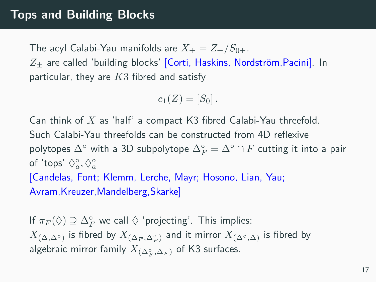The acyl Calabi-Yau manifolds are  $X_+ = Z_+/S_{0+}$ .  $Z_{+}$  are called 'building blocks' [Corti, Haskins, Nordström, Pacini]. In particular, they are  $K3$  fibred and satisfy

$$
c_1(Z)=[S_0].
$$

Can think of  $X$  as 'half' a compact K3 fibred Calabi-Yau threefold. Such Calabi-Yau threefolds can be constructed from 4D reflexive polytopes  $\Delta^\circ$  with a 3D subpolytope  $\Delta_F^\circ = \Delta^\circ \cap F$  cutting it into a pair of 'tops'  $\Diamond_a^{\circ}, \Diamond_a^{\circ}$ [Candelas, Font; Klemm, Lerche, Mayr; Hosono, Lian, Yau; Avram,Kreuzer,Mandelberg,Skarke]

If  $\pi_F(\lozenge) \supseteq \Delta_F^\circ$  we call  $\lozenge$  'projecting'. This implies:  $X_{(\Delta, \Delta^{\circ})}$  is fibred by  $X_{(\Delta_F, \Delta_F^{\circ})}$  and it mirror  $X_{(\Delta^{\circ}, \Delta)}$  is fibred by algebraic mirror family  $X_{(\Delta_F^\circ, \Delta_F)}$  of K3 surfaces.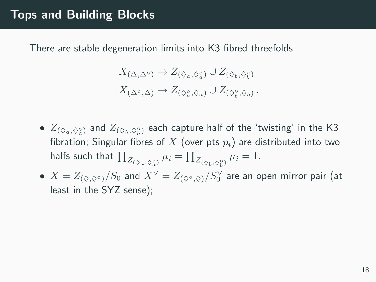#### Tops and Building Blocks

There are stable degeneration limits into K3 fibred threefolds

$$
X_{(\Delta,\Delta^{\circ})} \to Z_{(\Diamond_a,\Diamond_a^{\circ})} \cup Z_{(\Diamond_b,\Diamond_b^{\circ})}
$$
  

$$
X_{(\Delta^{\circ},\Delta)} \to Z_{(\Diamond_a^{\circ},\Diamond_a)} \cup Z_{(\Diamond_b^{\circ},\Diamond_b)}.
$$

- $\bullet$   $Z_{(\Diamond_a, \Diamond^{\circ}_a)}$  and  $Z_{(\Diamond_b, \Diamond^{\circ}_b)}$  each capture half of the 'twisting' in the K3 fibration; Singular fibres of X (over pts  $p_i$ ) are distributed into two halfs such that  $\prod_{Z_{(\Diamond_a, \Diamond_a^{\circ})}} \mu_i = \prod_{Z_{(\Diamond_b, \Diamond_b^{\circ})}} \mu_i = 1.$ b
- $\bullet~~ X=Z_{(\Diamond,\Diamond^\circ)}/S_0$  and  $X^\vee=Z_{(\Diamond^\circ,\Diamond)}/S_0^\vee$  are an open mirror pair (at least in the SYZ sense);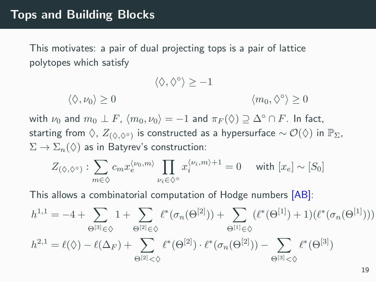This motivates: a pair of dual projecting tops is a pair of lattice polytopes which satisfy

$$
\langle \Diamond, \Diamond^{\circ} \rangle \ge -1
$$
  

$$
\langle \Diamond, \nu_0 \rangle \ge 0
$$
  

$$
\langle m_0, \Diamond^{\circ} \rangle \ge 0
$$

with  $\nu_0$  and  $m_0 \perp F$ ,  $\langle m_0, \nu_0 \rangle = -1$  and  $\pi_F(\Diamond) \supseteq \Delta^{\circ} \cap F$ . In fact, starting from  $\Diamond$ ,  $Z_{(\Diamond,\Diamond^{\circ})}$  is constructed as a hypersurface  $\sim \mathcal{O}(\Diamond)$  in  $\mathbb{P}_{\Sigma}$ ,  $\Sigma \to \Sigma_n(\Diamond)$  as in Batyrev's construction:

$$
Z_{(\Diamond,\Diamond^{\circ})} : \sum_{m \in \Diamond} c_m x_e^{\langle \nu_0, m \rangle} \prod_{\nu_i \in \Diamond^{\circ}} x_i^{\langle \nu_i, m \rangle + 1} = 0 \quad \text{ with } [x_e] \sim [S_0]
$$

This allows a combinatorial computation of Hodge numbers [AB]:

$$
h^{1,1} = -4 + \sum_{\Theta^{[3]}\in\Diamond} 1 + \sum_{\Theta^{[2]}\in\Diamond} \ell^*(\sigma_n(\Theta^{[2]})) + \sum_{\Theta^{[1]}\in\Diamond} (\ell^*(\Theta^{[1]}) + 1)(\ell^*(\sigma_n(\Theta^{[1]})))
$$
  

$$
h^{2,1} = \ell(\Diamond) - \ell(\Delta_F) + \sum_{\Theta^{[2]}<\Diamond} \ell^*(\Theta^{[2]}) \cdot \ell^*(\sigma_n(\Theta^{[2]})) - \sum_{\Theta^{[3]}<\Diamond} \ell^*(\Theta^{[3]})
$$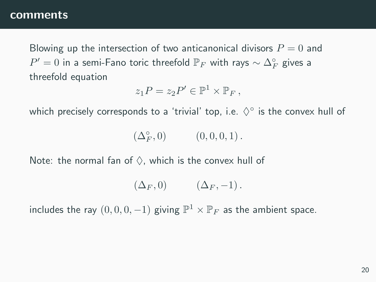#### comments

Blowing up the intersection of two anticanonical divisors  $P = 0$  and  $P'=0$  in a semi-Fano toric threefold  $\mathbb{P}_F$  with rays  $\sim \Delta_F^\circ$  gives a threefold equation

$$
z_1P=z_2P'\in\mathbb{P}^1\times\mathbb{P}_F,
$$

which precisely corresponds to a 'trivial' top, i.e.  $\Diamond^{\circ}$  is the convex hull of

 $\left(\Delta_F^\circ,0\right)\qquad \quad \left(0,0,0,1\right).$ 

Note: the normal fan of  $\Diamond$ , which is the convex hull of

$$
(\Delta_F, 0) \qquad (\Delta_F, -1).
$$

includes the ray  $(0, 0, 0, -1)$  giving  $\mathbb{P}^1 \times \mathbb{P}_F$  as the ambient space.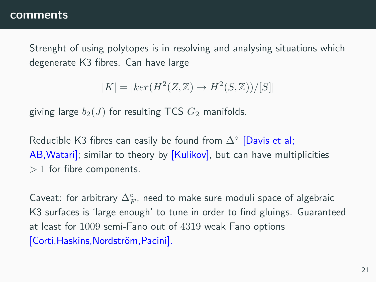#### comments

Strenght of using polytopes is in resolving and analysing situations which degenerate K3 fibres. Can have large

$$
|K| = |ker(H^2(Z, \mathbb{Z}) \to H^2(S, \mathbb{Z}))/[S]|
$$

giving large  $b_2(J)$  for resulting TCS  $G_2$  manifolds.

Reducible K3 fibres can easily be found from  $\Delta^\circ$  [Davis et al; AB, Watari]; similar to theory by [Kulikov], but can have multiplicities  $> 1$  for fibre components.

Caveat: for arbitrary  $\Delta_F^\circ$ , need to make sure moduli space of algebraic K3 surfaces is 'large enough' to tune in order to find gluings. Guaranteed at least for 1009 semi-Fano out of 4319 weak Fano options [Corti, Haskins, Nordström, Pacini].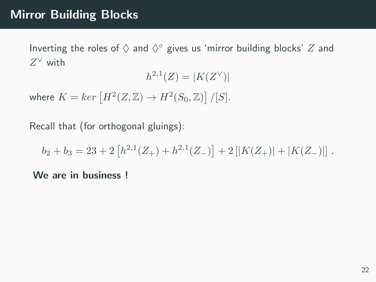#### Mirror Building Blocks

Inverting the roles of  $\diamond$  and  $\diamond^\circ$  gives us 'mirror building blocks'  $Z$  and  $Z^{\vee}$  with

$$
h^{2,1}(Z) = |K(Z^\vee)|
$$

where  $K = ker [H^2(Z, \mathbb{Z}) \to H^2(S_0, \mathbb{Z})] / [S].$ 

Recall that (for orthogonal gluings):

 $b_2 + b_3 = 23 + 2 [h^{2,1}(Z_+) + h^{2,1}(Z_-)] + 2 [|K(Z_+)| + |K(Z_-)||$ .

We are in business !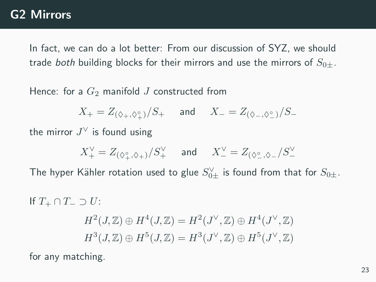#### G2 Mirrors

In fact, we can do a lot better: From our discussion of SYZ, we should trade both building blocks for their mirrors and use the mirrors of  $S_{0+}$ .

Hence: for a  $G_2$  manifold J constructed from

 $X_+ = Z_{(\Diamond_+,\Diamond_+^\circ)}/S_+$  and  $X_- = Z_{(\Diamond_-,\Diamond_-^\circ)}/S_-$ 

the mirror  $J^{\vee}$  is found using

$$
X^{\vee}_{+}=Z_{(\Diamond_{+}^{\circ},\Diamond_{+})}/S^{\vee}_{+}\quad\text{ and }\quad X^{\vee}_{-}=Z_{(\Diamond_{-}^{\circ},\Diamond_{-}}/S^{\vee}_{-}
$$

The hyper Kähler rotation used to glue  $S_{0\pm}^\vee$  is found from that for  $S_{0\pm}.$ 

If  $T_+ \cap T_- \supset U$ :  $H^2(J,\mathbb{Z})\oplus H^4(J,\mathbb{Z})=H^2(J^\vee,\mathbb{Z})\oplus H^4(J^\vee,\mathbb{Z})$  $H^3(J,\mathbb{Z})\oplus H^5(J,\mathbb{Z})=H^3(J^\vee,\mathbb{Z})\oplus H^5(J^\vee,\mathbb{Z})$ 

for any matching.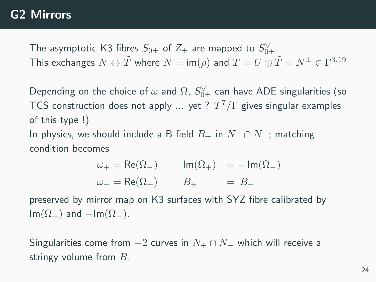#### G2 Mirrors

The asymptotic K3 fibres  $S_{0\pm}$  of  $Z_\pm$  are mapped to  $S_{0\pm}^\vee$ . This exchanges  $N \leftrightarrow \tilde{T}$  where  $N = \mathsf{im}(\rho)$  and  $T = U \oplus \tilde{T} = N^\perp \in \Gamma^{3,19}$ 

Depending on the choice of  $\omega$  and  $\Omega$ ,  $S_{0\pm}^{\vee}$  can have ADE singularities (so TCS construction does not apply ... yet ?  $T^7/\Gamma$  gives singular examples of this type !) In physics, we should include a B-field  $B_{\pm}$  in  $N_{+} \cap N_{-}$ ; matching

condition becomes

$$
\begin{aligned}\n\omega_+ &= \text{Re}(\Omega_-) & \text{Im}(\Omega_+) &= -\,\text{Im}(\Omega_-) \\
\omega_- &= \text{Re}(\Omega_+) & B_+ &= B_-\n\end{aligned}
$$

preserved by mirror map on K3 surfaces with SYZ fibre calibrated by  $Im(\Omega_+)$  and  $-Im(\Omega_-)$ .

Singularities come from  $-2$  curves in  $N_+ \cap N_-$  which will receive a stringy volume from  $B$ .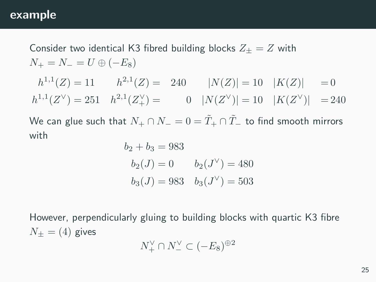#### example

Consider two identical K3 fibred building blocks  $Z_+ = Z$  with  $N_{+} = N_{-} = U \oplus (-E_{8})$ 

 $h^{1,1}(Z) = 11$   $h^{2,1}(Z) = 240$   $|N(Z)| = 10$   $|K(Z)| = 0$  $h^{1,1}(Z^{\vee}) = 251$   $h^{2,1}(Z_{+}^{\vee}) =$  0  $|N(Z^{\vee})| = 10$   $|K(Z^{\vee})| = 240$ 

We can glue such that  $N_+ \cap N_- = 0 = \tilde{T}_+ \cap \tilde{T}_-$  to find smooth mirrors with

$$
b_2 + b_3 = 983
$$
  
\n $b_2(J) = 0$   $b_2(J^{\vee}) = 480$   
\n $b_3(J) = 983$   $b_3(J^{\vee}) = 503$ 

However, perpendicularly gluing to building blocks with quartic K3 fibre  $N_+ = (4)$  gives

$$
N_+^{\vee} \cap N_-^{\vee} \subset (-E_8)^{\oplus 2}
$$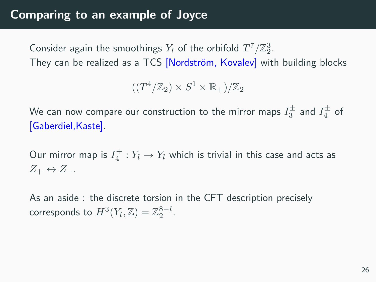Consider again the smoothings  $Y_l$  of the orbifold  $T^7/\mathbb{Z}_2^3$ . They can be realized as a TCS [Nordström, Kovalev] with building blocks

 $((T^4/\mathbb{Z}_2) \times S^1 \times \mathbb{R}_+)/\mathbb{Z}_2$ 

We can now compare our construction to the mirror maps  $I_3^\pm$  and  $I_4^\pm$  of [Gaberdiel,Kaste].

Our mirror map is  $I_4^+ : Y_l \to Y_l$  which is trivial in this case and acts as  $Z_+ \leftrightarrow Z_-.$ 

As an aside : the discrete torsion in the CFT description precisely corresponds to  $H^3(Y_l, \mathbb{Z}) = \mathbb{Z}_2^{8-l}$ .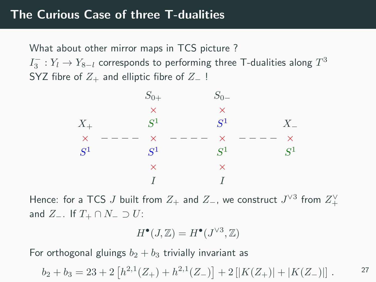What about other mirror maps in TCS picture ?  $I_3^-: Y_l \rightarrow Y_{8-l}$  corresponds to performing three T-dualities along  $T^3$ SYZ fibre of  $Z_+$  and elliptic fibre of  $Z_-$ !



Hence: for a TCS  $J$  built from  $Z_+$  and  $Z_-$ , we construct  $J^{\vee 3}$  from  $Z_+^{\vee}$ and  $Z_-\$ . If  $T_+\cap N_-\supset U$ :

$$
H^{\bullet}(J,\mathbb{Z})=H^{\bullet}(J^{\vee 3},\mathbb{Z})
$$

For orthogonal gluings  $b_2 + b_3$  trivially invariant as

$$
b_2 + b_3 = 23 + 2 [h^{2,1}(Z_+) + h^{2,1}(Z_-)] + 2 [|K(Z_+)| + |K(Z_-)||.
$$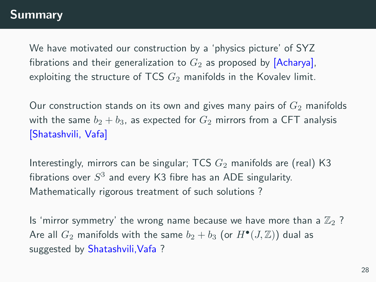We have motivated our construction by a 'physics picture' of SYZ fibrations and their generalization to  $G_2$  as proposed by [Acharya], exploiting the structure of TCS  $G_2$  manifolds in the Kovalev limit.

Our construction stands on its own and gives many pairs of  $G_2$  manifolds with the same  $b_2 + b_3$ , as expected for  $G_2$  mirrors from a CFT analysis [Shatashvili, Vafa]

Interestingly, mirrors can be singular; TCS  $G_2$  manifolds are (real) K3 fibrations over  $S^3$  and every K3 fibre has an ADE singularity. Mathematically rigorous treatment of such solutions ?

Is 'mirror symmetry' the wrong name because we have more than a  $\mathbb{Z}_2$  ? Are all  $G_2$  manifolds with the same  $b_2 + b_3$  (or  $H^\bullet(J,\mathbb{Z}))$  dual as suggested by Shatashvili, Vafa ?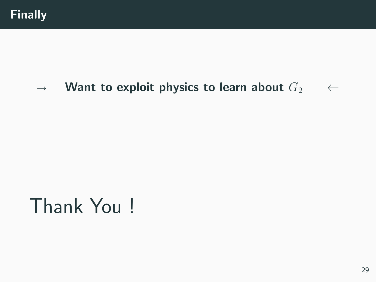# $\rightarrow$  Want to exploit physics to learn about  $G_2$  ←

# Thank You !